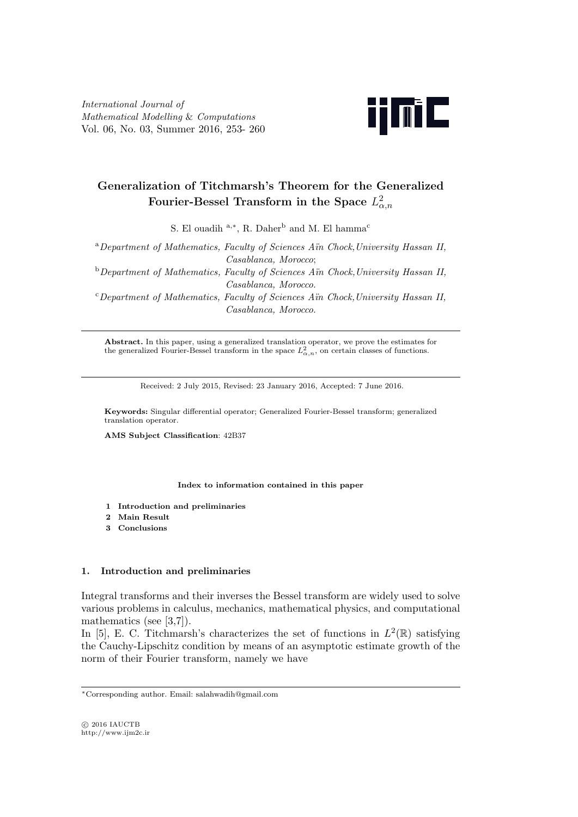*International Journal of Mathematical Modelling* & *Computations* Vol. 06, No. 03, Summer 2016, 253- 260



# **Generalization of Titchmarsh's Theorem for the Generalized Fourier-Bessel Transform in the Space** *L* 2 *α,n*

S. El ouadih <sup>a,\*</sup>, R. Daher<sup>b</sup> and M. El hamma<sup>c</sup>

<sup>a</sup>*Department of Mathematics, Faculty of Sciences A¨ın Chock,University Hassan II, Casablanca, Morocco*; <sup>b</sup>*Department of Mathematics, Faculty of Sciences A¨ın Chock,University Hassan II, Casablanca, Morocco*. <sup>c</sup>*Department of Mathematics, Faculty of Sciences A¨ın Chock,University Hassan II, Casablanca, Morocco*.

**Abstract.** In this paper, using a generalized translation operator, we prove the estimates for the generalized Fourier-Bessel transform in the space  $L^2_{\alpha,n}$ , on certain classes of functions.

Received: 2 July 2015, Revised: 23 January 2016, Accepted: 7 June 2016.

**Keywords:** Singular differential operator; Generalized Fourier-Bessel transform; generalized translation operator.

**AMS Subject Classification**: 42B37

**Index to information contained in this paper**

- **1 Introduction and preliminaries**
- **2 Main Result**
- **3 Conclusions**

## **1. Introduction and preliminaries**

Integral transforms and their inverses the Bessel transform are widely used to solve various problems in calculus, mechanics, mathematical physics, and computational mathematics (see [3,7]).

In [5], E. C. Titchmarsh's characterizes the set of functions in  $L^2(\mathbb{R})$  satisfying the Cauchy-Lipschitz condition by means of an asymptotic estimate growth of the norm of their Fourier transform, namely we have

*<sup>∗</sup>*Corresponding author. Email: salahwadih@gmail.com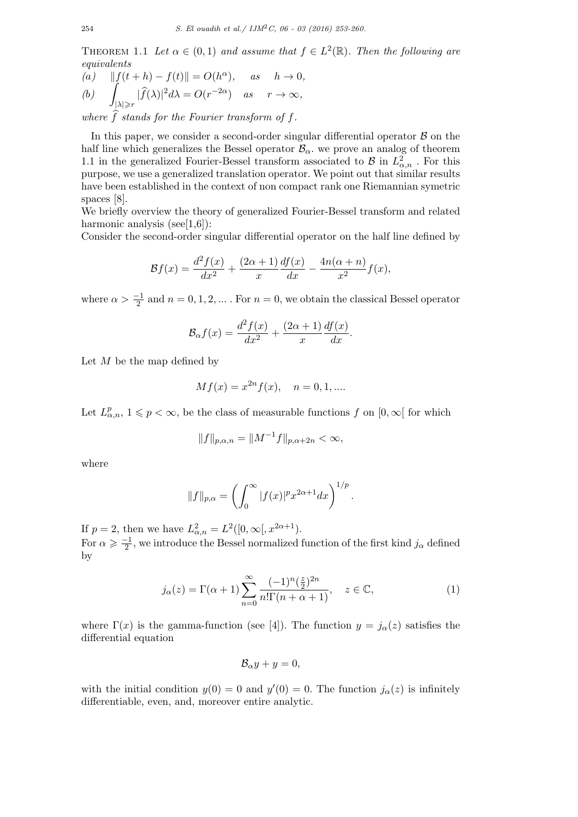THEOREM 1.1 Let  $\alpha \in (0,1)$  and assume that  $f \in L^2(\mathbb{R})$ . Then the following are *equivalents*

(a) 
$$
||f(t+h) - f(t)|| = O(h^{\alpha})
$$
, as  $h \to 0$ ,  
\n(b)  $\int_{|\lambda| \ge r} |\widehat{f}(\lambda)|^2 d\lambda = O(r^{-2\alpha})$  as  $r \to \infty$ ,

*where*  $f$  *stands for the Fourier transform of*  $f$ *.* 

In this paper, we consider a second-order singular differential operator *B* on the half line which generalizes the Bessel operator  $B_\alpha$ , we prove an analog of theorem 1.1 in the generalized Fourier-Bessel transform associated to *B* in  $L^2_{\alpha,n}$ . For this purpose, we use a generalized translation operator. We point out that similar results have been established in the context of non compact rank one Riemannian symetric spaces [8].

We briefly overview the theory of generalized Fourier-Bessel transform and related harmonic analysis (see $[1,6]$ ):

Consider the second-order singular differential operator on the half line defined by

$$
\mathcal{B}f(x) = \frac{d^2f(x)}{dx^2} + \frac{(2\alpha+1)}{x} \frac{df(x)}{dx} - \frac{4n(\alpha+n)}{x^2} f(x),
$$

where  $\alpha > \frac{-1}{2}$  and  $n = 0, 1, 2, \dots$ . For  $n = 0$ , we obtain the classical Bessel operator

$$
\mathcal{B}_{\alpha}f(x) = \frac{d^2f(x)}{dx^2} + \frac{(2\alpha+1)}{x}\frac{df(x)}{dx}.
$$

Let *M* be the map defined by

$$
Mf(x) = x^{2n} f(x), \quad n = 0, 1, \dots
$$

Let  $L^p_{\alpha,n}$ ,  $1 \leq p < \infty$ , be the class of measurable functions  $f$  on  $[0, \infty[$  for which

$$
||f||_{p,\alpha,n} = ||M^{-1}f||_{p,\alpha+2n} < \infty,
$$

where

$$
||f||_{p,\alpha} = \left(\int_0^\infty |f(x)|^p x^{2\alpha+1} dx\right)^{1/p}.
$$

If  $p = 2$ , then we have  $L^2_{\alpha,n} = L^2([0,\infty[,x^{2\alpha+1}).$ 

For  $\alpha \geqslant \frac{-1}{2}$ , we introduce the Bessel normalized function of the first kind  $j_{\alpha}$  defined by

$$
j_{\alpha}(z) = \Gamma(\alpha + 1) \sum_{n=0}^{\infty} \frac{(-1)^n (\frac{z}{2})^{2n}}{n! \Gamma(n + \alpha + 1)}, \quad z \in \mathbb{C},
$$
 (1)

where  $\Gamma(x)$  is the gamma-function (see [4]). The function  $y = j_{\alpha}(z)$  satisfies the differential equation

$$
\mathcal{B}_{\alpha}y + y = 0,
$$

with the initial condition  $y(0) = 0$  and  $y'(0) = 0$ . The function  $j_{\alpha}(z)$  is infinitely differentiable, even, and, moreover entire analytic.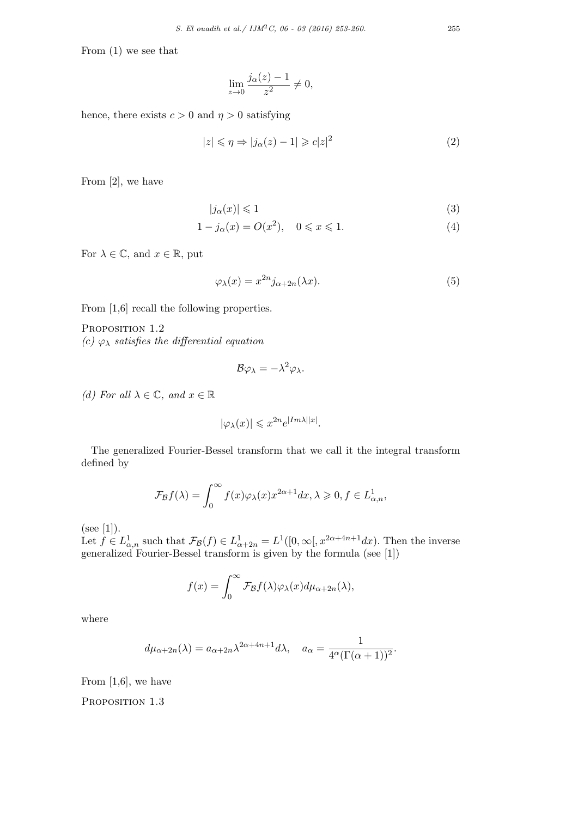From (1) we see that

$$
\lim_{z \to 0} \frac{j_{\alpha}(z) - 1}{z^2} \neq 0,
$$

hence, there exists  $c > 0$  and  $\eta > 0$  satisfying

$$
|z| \leqslant \eta \Rightarrow |j_{\alpha}(z) - 1| \geqslant c|z|^2 \tag{2}
$$

From [2], we have

$$
|j_{\alpha}(x)| \leq 1\tag{3}
$$

$$
1 - j_{\alpha}(x) = O(x^2), \quad 0 \le x \le 1.
$$
 (4)

For  $\lambda \in \mathbb{C}$ , and  $x \in \mathbb{R}$ , put

$$
\varphi_{\lambda}(x) = x^{2n} j_{\alpha+2n}(\lambda x). \tag{5}
$$

From  $[1,6]$  recall the following properties.

PROPOSITION 1.2 *(c)*  $\varphi_{\lambda}$  *satisfies the differential equation* 

$$
\mathcal{B}\varphi_{\lambda}=-\lambda^2\varphi_{\lambda}.
$$

*(d)* For all  $\lambda \in \mathbb{C}$ , and  $x \in \mathbb{R}$ 

$$
|\varphi_{\lambda}(x)| \leqslant x^{2n} e^{|Im \lambda||x|}.
$$

The generalized Fourier-Bessel transform that we call it the integral transform defined by

$$
\mathcal{F}_{\mathcal{B}}f(\lambda) = \int_0^\infty f(x)\varphi_\lambda(x)x^{2\alpha+1}dx, \lambda \geqslant 0, f \in L^1_{\alpha,n},
$$

(see [1]).

Let  $f \in L^1_{\alpha,n}$  such that  $\mathcal{F}_{\mathcal{B}}(f) \in L^1_{\alpha+2n} = L^1([0,\infty[, x^{2\alpha+4n+1}dx)$ . Then the inverse generalized Fourier-Bessel transform is given by the formula (see [1])

$$
f(x) = \int_0^\infty \mathcal{F}_{\mathcal{B}}f(\lambda)\varphi_\lambda(x)d\mu_{\alpha+2n}(\lambda),
$$

where

$$
d\mu_{\alpha+2n}(\lambda) = a_{\alpha+2n}\lambda^{2\alpha+4n+1}d\lambda, \quad a_{\alpha} = \frac{1}{4^{\alpha}(\Gamma(\alpha+1))^2}.
$$

From  $[1,6]$ , we have

PROPOSITION 1.3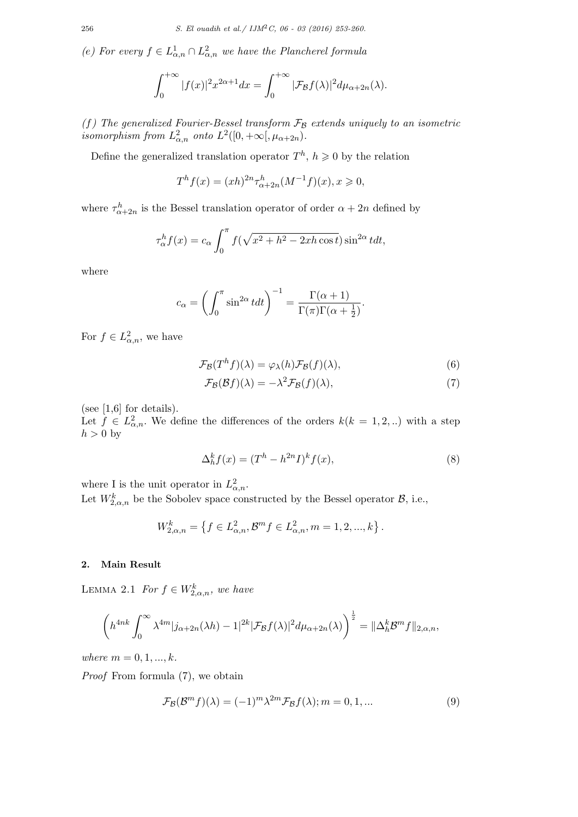*(e)* For every  $f \in L^1_{\alpha,n} \cap L^2_{\alpha,n}$  we have the Plancherel formula

$$
\int_0^{+\infty} |f(x)|^2 x^{2\alpha+1} dx = \int_0^{+\infty} |\mathcal{F}_{\mathcal{B}}f(\lambda)|^2 d\mu_{\alpha+2n}(\lambda).
$$

*(f) The generalized Fourier-Bessel transform F<sup>B</sup> extends uniquely to an isometric isomorphism from*  $L^2_{\alpha,n}$  *onto*  $L^2([0,+\infty[, \mu_{\alpha+2n})$ *.* 

Define the generalized translation operator  $T^h$ ,  $h \geq 0$  by the relation

$$
T^{h} f(x) = (xh)^{2n} \tau^{h}_{\alpha+2n} (M^{-1} f)(x), x \geq 0,
$$

where  $\tau_{\alpha+2n}^h$  is the Bessel translation operator of order  $\alpha+2n$  defined by

$$
\tau_{\alpha}^{h} f(x) = c_{\alpha} \int_{0}^{\pi} f(\sqrt{x^2 + h^2 - 2xh \cos t}) \sin^{2\alpha} t dt,
$$

where

$$
c_{\alpha} = \left(\int_0^{\pi} \sin^{2\alpha} t dt\right)^{-1} = \frac{\Gamma(\alpha+1)}{\Gamma(\pi)\Gamma(\alpha+\frac{1}{2})}.
$$

For  $f \in L^2_{\alpha,n}$ , we have

$$
\mathcal{F}_{\mathcal{B}}(T^{h}f)(\lambda) = \varphi_{\lambda}(h)\mathcal{F}_{\mathcal{B}}(f)(\lambda),\tag{6}
$$

$$
\mathcal{F}_{\mathcal{B}}(\mathcal{B}f)(\lambda) = -\lambda^2 \mathcal{F}_{\mathcal{B}}(f)(\lambda),\tag{7}
$$

(see  $[1,6]$  for details).

Let  $f \in L^2_{\alpha,n}$ . We define the differences of the orders  $k(k = 1, 2, ...)$  with a step  $h > 0$  by

$$
\Delta_h^k f(x) = (T^h - h^{2n} I)^k f(x),\tag{8}
$$

where I is the unit operator in  $L^2_{\alpha,n}$ . Let  $W_{2,\alpha,n}^k$  be the Sobolev space constructed by the Bessel operator  $\mathcal{B}$ , i.e.,

$$
W_{2,\alpha,n}^k=\left\{f\in L_{\alpha,n}^2, \mathcal{B}^mf\in L_{\alpha,n}^2, m=1,2,...,k\right\}.
$$

## **2. Main Result**

LEMMA 2.1 *For*  $f \in W_{2,\alpha,n}^k$ *, we have* 

$$
\left(h^{4nk}\int_0^\infty \lambda^{4m}|j_{\alpha+2n}(\lambda h)-1|^{2k}|\mathcal{F}_{\mathcal{B}}f(\lambda)|^2d\mu_{\alpha+2n}(\lambda)\right)^{\frac{1}{2}}=\|\Delta_h^k\mathcal{B}^m f\|_{2,\alpha,n},
$$

*where*  $m = 0, 1, ..., k$ .

*Proof* From formula (7), we obtain

$$
\mathcal{F}_{\mathcal{B}}(\mathcal{B}^m f)(\lambda) = (-1)^m \lambda^{2m} \mathcal{F}_{\mathcal{B}} f(\lambda); m = 0, 1, \dots \tag{9}
$$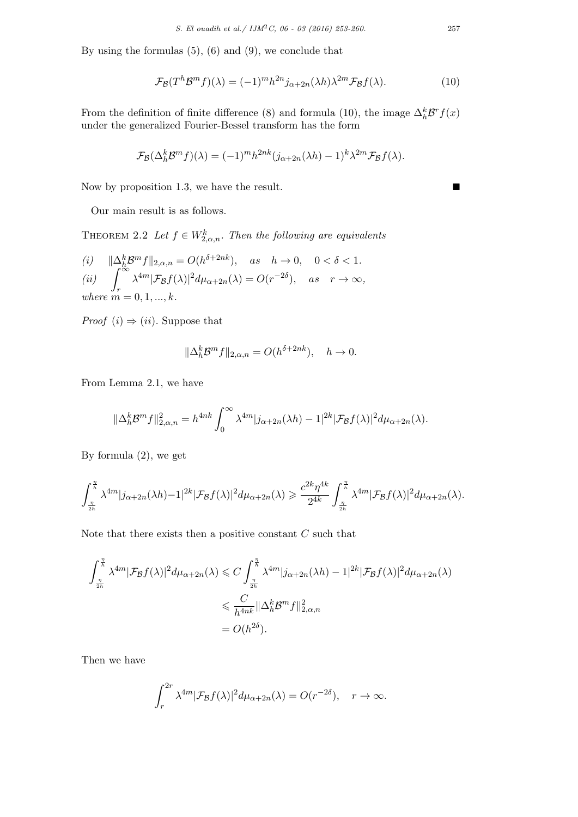By using the formulas  $(5)$ ,  $(6)$  and  $(9)$ , we conclude that

$$
\mathcal{F}_{\mathcal{B}}(T^{h}\mathcal{B}^{m}f)(\lambda) = (-1)^{m}h^{2n}j_{\alpha+2n}(\lambda h)\lambda^{2m}\mathcal{F}_{\mathcal{B}}f(\lambda).
$$
 (10)

From the definition of finite difference (8) and formula (10), the image  $\Delta_h^k \mathcal{B}^r f(x)$ under the generalized Fourier-Bessel transform has the form

$$
\mathcal{F}_{\mathcal{B}}(\Delta_h^k \mathcal{B}^m f)(\lambda) = (-1)^m h^{2nk} (j_{\alpha+2n}(\lambda h) - 1)^k \lambda^{2m} \mathcal{F}_{\mathcal{B}} f(\lambda).
$$

Now by proposition 1.3, we have the result.  $\blacksquare$ 

Our main result is as follows.

THEOREM 2.2 Let  $f \in W_{2,\alpha,n}^k$ . Then the following are equivalents

(i) 
$$
\|\Delta_h^k \mathcal{B}^m f\|_{2,\alpha,n} = O(h^{\delta+2nk}),
$$
 as  $h \to 0$ ,  $0 < \delta < 1$ .  
\n(ii)  $\int_r^{\infty} \lambda^{4m} |\mathcal{F}_{\mathcal{B}}f(\lambda)|^2 d\mu_{\alpha+2n}(\lambda) = O(r^{-2\delta}),$  as  $r \to \infty$ ,  
\nwhere  $m = 0, 1, ..., k$ .

*Proof*  $(i) \Rightarrow (ii)$ . Suppose that

$$
\|\Delta_h^k \mathcal{B}^m f\|_{2,\alpha,n} = O(h^{\delta+2nk}), \quad h \to 0.
$$

From Lemma 2.1, we have

$$
\|\Delta_h^k \mathcal{B}^m f\|_{2,\alpha,n}^2 = h^{4nk} \int_0^\infty \lambda^{4m} |j_{\alpha+2n}(\lambda h) - 1|^{2k} |\mathcal{F}_{\mathcal{B}}f(\lambda)|^2 d\mu_{\alpha+2n}(\lambda).
$$

By formula (2), we get

$$
\int_{\frac{\eta}{2h}}^{\frac{\eta}{h}}\lambda^{4m}|j_{\alpha+2n}(\lambda h)-1|^{2k}|\mathcal{F}_\mathcal{B}f(\lambda)|^2d\mu_{\alpha+2n}(\lambda)\geqslant \frac{c^{2k}\eta^{4k}}{2^{4k}}\int_{\frac{\eta}{2h}}^{\frac{\eta}{h}}\lambda^{4m}|\mathcal{F}_\mathcal{B}f(\lambda)|^2d\mu_{\alpha+2n}(\lambda).
$$

Note that there exists then a positive constant *C* such that

$$
\int_{\frac{n}{2h}}^{\frac{n}{h}} \lambda^{4m} |\mathcal{F}_{\mathcal{B}}f(\lambda)|^2 d\mu_{\alpha+2n}(\lambda) \leq C \int_{\frac{n}{2h}}^{\frac{n}{h}} \lambda^{4m} |j_{\alpha+2n}(\lambda h) - 1|^{2k} |\mathcal{F}_{\mathcal{B}}f(\lambda)|^2 d\mu_{\alpha+2n}(\lambda)
$$
  

$$
\leq \frac{C}{h^{4nk}} \|\Delta_h^k \mathcal{B}^m f\|_{2,\alpha,n}^2
$$
  

$$
= O(h^{2\delta}).
$$

Then we have

$$
\int_r^{2r} \lambda^{4m} |\mathcal{F}_{\mathcal{B}}f(\lambda)|^2 d\mu_{\alpha+2n}(\lambda) = O(r^{-2\delta}), \quad r \to \infty.
$$

$$
\mathbf{L}^{\prime}
$$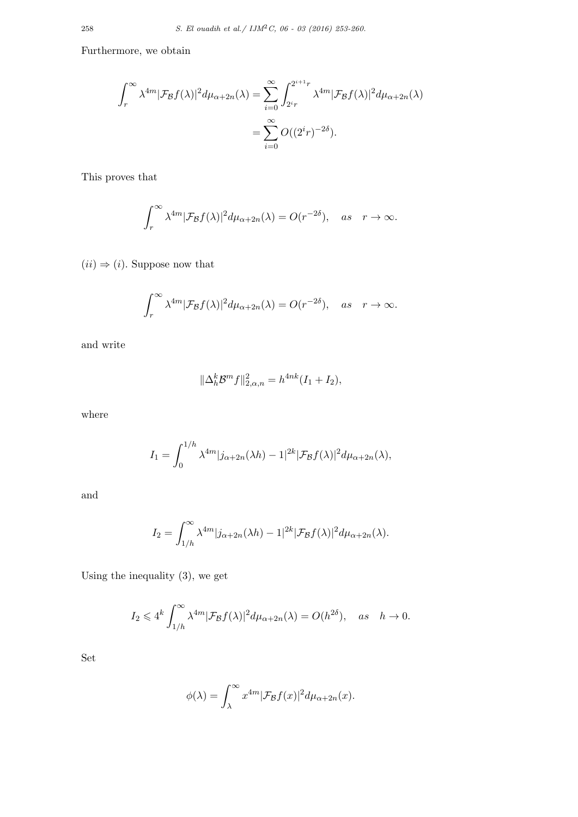Furthermore, we obtain

$$
\int_r^{\infty} \lambda^{4m} |\mathcal{F}_{\mathcal{B}}f(\lambda)|^2 d\mu_{\alpha+2n}(\lambda) = \sum_{i=0}^{\infty} \int_{2^i r}^{2^{i+1}r} \lambda^{4m} |\mathcal{F}_{\mathcal{B}}f(\lambda)|^2 d\mu_{\alpha+2n}(\lambda)
$$

$$
= \sum_{i=0}^{\infty} O((2^i r)^{-2\delta}).
$$

This proves that

$$
\int_r^{\infty} \lambda^{4m} |\mathcal{F}_{\mathcal{B}}f(\lambda)|^2 d\mu_{\alpha+2n}(\lambda) = O(r^{-2\delta}), \quad \text{as} \quad r \to \infty.
$$

 $(ii) \Rightarrow (i)$ . Suppose now that

$$
\int_r^{\infty} \lambda^{4m} |\mathcal{F}_{\mathcal{B}}f(\lambda)|^2 d\mu_{\alpha+2n}(\lambda) = O(r^{-2\delta}), \quad \text{as} \quad r \to \infty.
$$

and write

$$
\|\Delta_h^k \mathcal{B}^m f\|_{2,\alpha,n}^2 = h^{4nk} (I_1 + I_2),
$$

where

$$
I_1 = \int_0^{1/h} \lambda^{4m} |j_{\alpha+2n}(\lambda h) - 1|^{2k} |\mathcal{F}_{\mathcal{B}}f(\lambda)|^2 d\mu_{\alpha+2n}(\lambda),
$$

and

$$
I_2 = \int_{1/h}^{\infty} \lambda^{4m} |j_{\alpha+2n}(\lambda h) - 1|^{2k} |\mathcal{F}_{\mathcal{B}}f(\lambda)|^2 d\mu_{\alpha+2n}(\lambda).
$$

Using the inequality (3), we get

$$
I_2 \leq 4^k \int_{1/h}^{\infty} \lambda^{4m} |\mathcal{F}_{\mathcal{B}}f(\lambda)|^2 d\mu_{\alpha+2n}(\lambda) = O(h^{2\delta}), \quad as \quad h \to 0.
$$

Set

$$
\phi(\lambda) = \int_{\lambda}^{\infty} x^{4m} |\mathcal{F}_{\mathcal{B}}f(x)|^2 d\mu_{\alpha+2n}(x).
$$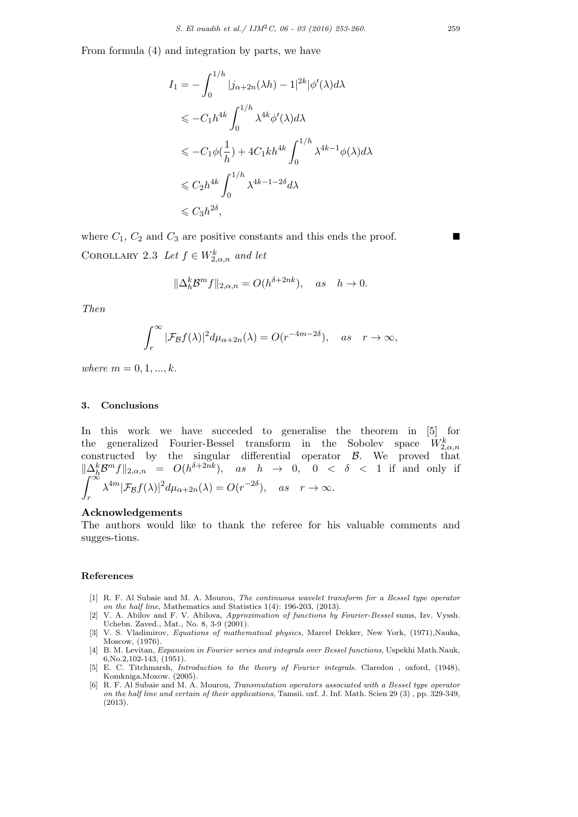From formula (4) and integration by parts, we have

$$
I_1 = -\int_0^{1/h} |j_{\alpha+2n}(\lambda h) - 1|^{2k} |\phi'(\lambda)d\lambda
$$
  
\n
$$
\leq -C_1 h^{4k} \int_0^{1/h} \lambda^{4k} \phi'(\lambda)d\lambda
$$
  
\n
$$
\leq -C_1 \phi(\frac{1}{h}) + 4C_1 kh^{4k} \int_0^{1/h} \lambda^{4k-1} \phi(\lambda)d\lambda
$$
  
\n
$$
\leq C_2 h^{4k} \int_0^{1/h} \lambda^{4k-1-2\delta} d\lambda
$$
  
\n
$$
\leq C_3 h^{2\delta},
$$

where  $C_1$ ,  $C_2$  and  $C_3$  are positive constants and this ends the proof. COROLLARY 2.3 *Let*  $f \in W_{2,\alpha,n}^k$  *and let* 

$$
\|\Delta_h^k \mathcal{B}^m f\|_{2,\alpha,n} = O(h^{\delta+2nk}), \quad as \quad h \to 0.
$$

*Then*

$$
\int_r^{\infty} |\mathcal{F}_{\mathcal{B}}f(\lambda)|^2 d\mu_{\alpha+2n}(\lambda) = O(r^{-4m-2\delta}), \quad as \quad r \to \infty,
$$

 $where m = 0, 1, ..., k.$ 

### **3. Conclusions**

In this work we have succeded to generalise the theorem in [5] for the generalized Fourier-Bessel transform in the Sobolev space  $W_{2,\alpha,n}^k$  $\alpha$ <sub>2, $\alpha$ </sub>, constructed by the singular differential operator *B*. We proved that  $\|\Delta_h^k B^m f\|_{2,\alpha,n} = O(h^{\delta+2nk})$ , *as h* → 0, 0 < δ < 1 if and only if  $\int_{-\infty}^{\infty} \Delta_h^k B^m F(x,\lambda) dx$  (a)  $Q(x, 2\delta)$ *r*  $\lambda^{4m} |\mathcal{F}_{\mathcal{B}}f(\lambda)|^2 d\mu_{\alpha+2n}(\lambda) = O(r^{-2\delta}), \quad \text{as} \quad r \to \infty.$ 

## **Acknowledgements**

The authors would like to thank the referee for his valuable comments and sugges-tions.

#### **References**

- [1] R. F. Al Subaie and M. A. Mourou, *The continuous wavelet transform for a Bessel type operator on the half line*, Mathematics and Statistics 1(4): 196-203, (2013).
- [2] V. A. Abilov and F. V. Abilova, *Approximation of functions by Fourier-Bessel* sums, Izv. Vyssh. Uchebn. Zaved., Mat., No. 8, 3-9 (2001).
- [3] V. S. Vladimirov, *Equations of mathematical physics*, Marcel Dekker, New York, (1971),Nauka, Moscow, (1976).
- [4] B. M. Levitan, *Expansion in Fourier series and integrals over Bessel functions*, Uspekhi Math.Nauk, 6,No.2,102-143, (1951).
- [5] E. C. Titchmarsh, *Introduction to the theory of Fourier integrals*. Claredon , oxford, (1948), Komkniga.Moxow. (2005).
- [6] R. F. Al Subaie and M. A. Mourou, *Transmutation operators associated with a Bessel type operator on the half line and certain of their applications*, Tamsii. oxf. J. Inf. Math. Scien 29 (3) , pp. 329-349, (2013).